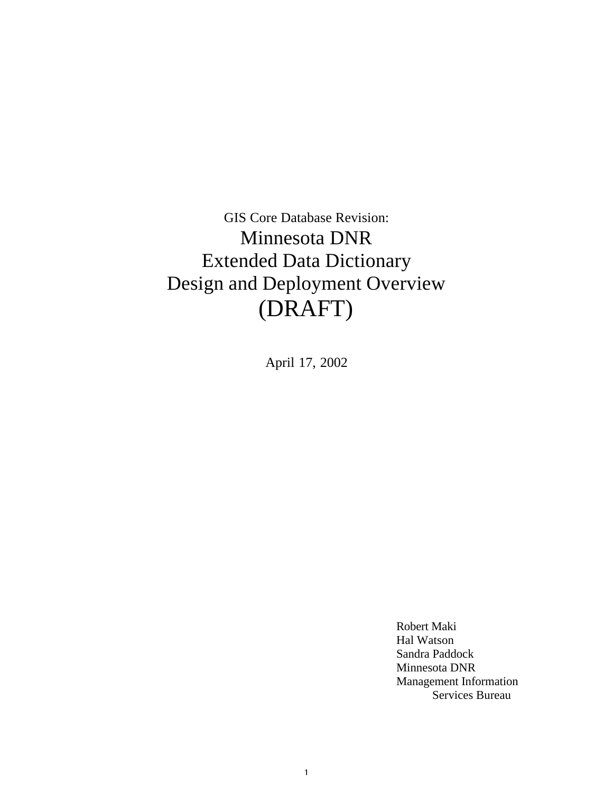GIS Core Database Revision: Minnesota DNR Extended Data Dictionary Design and Deployment Overview (DRAFT)

April 17, 2002

1

Robert Maki Hal Watson Sandra Paddock Minnesota DNR Management Information Services Bureau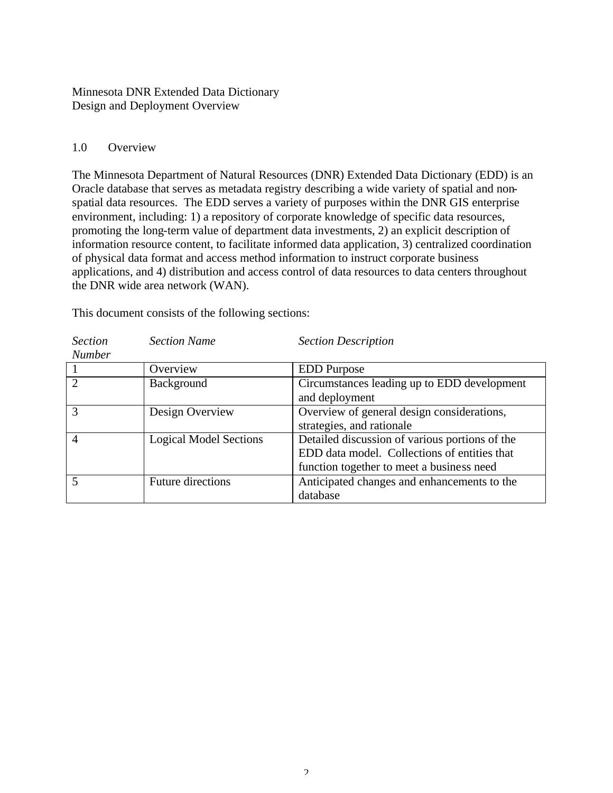Minnesota DNR Extended Data Dictionary Design and Deployment Overview

#### 1.0 Overview

The Minnesota Department of Natural Resources (DNR) Extended Data Dictionary (EDD) is an Oracle database that serves as metadata registry describing a wide variety of spatial and nonspatial data resources. The EDD serves a variety of purposes within the DNR GIS enterprise environment, including: 1) a repository of corporate knowledge of specific data resources, promoting the long-term value of department data investments, 2) an explicit description of information resource content, to facilitate informed data application, 3) centralized coordination of physical data format and access method information to instruct corporate business applications, and 4) distribution and access control of data resources to data centers throughout the DNR wide area network (WAN).

| <b>Section</b> | <b>Section Name</b>           | <b>Section Description</b>                     |
|----------------|-------------------------------|------------------------------------------------|
| <b>Number</b>  |                               |                                                |
|                | Overview                      | <b>EDD</b> Purpose                             |
| $\overline{2}$ | Background                    | Circumstances leading up to EDD development    |
|                |                               | and deployment                                 |
| 3              | Design Overview               | Overview of general design considerations,     |
|                |                               | strategies, and rationale                      |
| $\overline{4}$ | <b>Logical Model Sections</b> | Detailed discussion of various portions of the |
|                |                               | EDD data model. Collections of entities that   |
|                |                               | function together to meet a business need      |
|                | <b>Future directions</b>      | Anticipated changes and enhancements to the    |
|                |                               | database                                       |

This document consists of the following sections: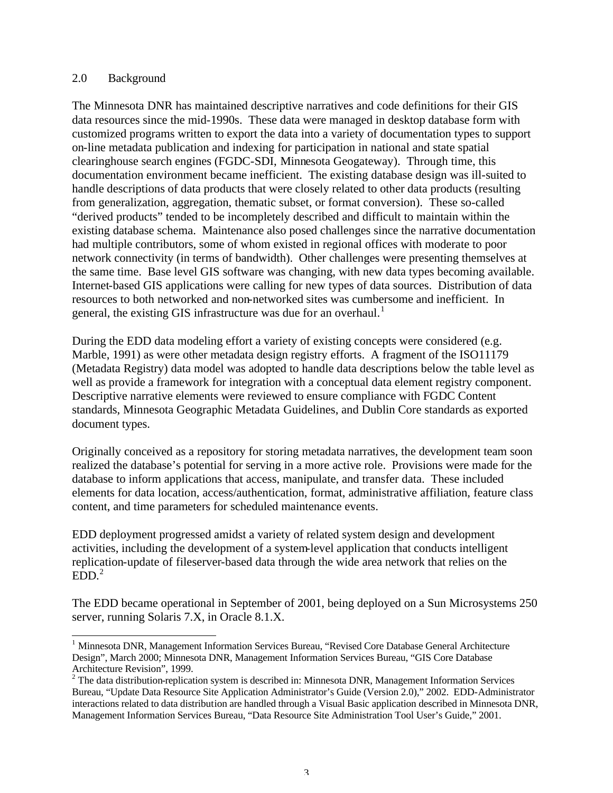#### 2.0 Background

The Minnesota DNR has maintained descriptive narratives and code definitions for their GIS data resources since the mid-1990s. These data were managed in desktop database form with customized programs written to export the data into a variety of documentation types to support on-line metadata publication and indexing for participation in national and state spatial clearinghouse search engines (FGDC-SDI, Minnesota Geogateway). Through time, this documentation environment became inefficient. The existing database design was ill-suited to handle descriptions of data products that were closely related to other data products (resulting from generalization, aggregation, thematic subset, or format conversion). These so-called "derived products" tended to be incompletely described and difficult to maintain within the existing database schema. Maintenance also posed challenges since the narrative documentation had multiple contributors, some of whom existed in regional offices with moderate to poor network connectivity (in terms of bandwidth). Other challenges were presenting themselves at the same time. Base level GIS software was changing, with new data types becoming available. Internet-based GIS applications were calling for new types of data sources. Distribution of data resources to both networked and non-networked sites was cumbersome and inefficient. In general, the existing GIS infrastructure was due for an overhaul.<sup>1</sup>

During the EDD data modeling effort a variety of existing concepts were considered (e.g. Marble, 1991) as were other metadata design registry efforts. A fragment of the ISO11179 (Metadata Registry) data model was adopted to handle data descriptions below the table level as well as provide a framework for integration with a conceptual data element registry component. Descriptive narrative elements were reviewed to ensure compliance with FGDC Content standards, Minnesota Geographic Metadata Guidelines, and Dublin Core standards as exported document types.

Originally conceived as a repository for storing metadata narratives, the development team soon realized the database's potential for serving in a more active role. Provisions were made for the database to inform applications that access, manipulate, and transfer data. These included elements for data location, access/authentication, format, administrative affiliation, feature class content, and time parameters for scheduled maintenance events.

EDD deployment progressed amidst a variety of related system design and development activities, including the development of a system-level application that conducts intelligent replication-update of fileserver-based data through the wide area network that relies on the  $EDD<sup>2</sup>$ 

The EDD became operational in September of 2001, being deployed on a Sun Microsystems 250 server, running Solaris 7.X, in Oracle 8.1.X.

 1 Minnesota DNR, Management Information Services Bureau, "Revised Core Database General Architecture Design", March 2000; Minnesota DNR, Management Information Services Bureau, "GIS Core Database Architecture Revision", 1999.

 $2$  The data distribution-replication system is described in: Minnesota DNR, Management Information Services Bureau, "Update Data Resource Site Application Administrator's Guide (Version 2.0)," 2002. EDD-Administrator interactions related to data distribution are handled through a Visual Basic application described in Minnesota DNR, Management Information Services Bureau, "Data Resource Site Administration Tool User's Guide," 2001.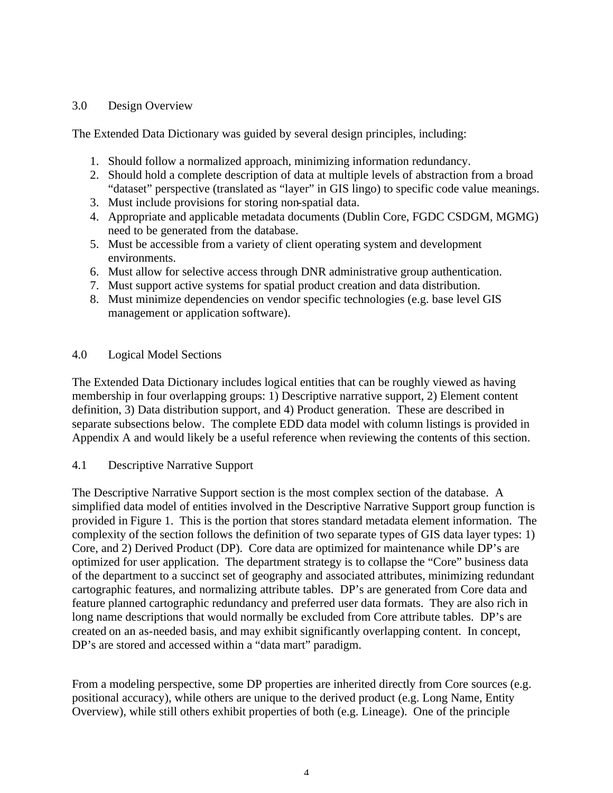## 3.0 Design Overview

The Extended Data Dictionary was guided by several design principles, including:

- 1. Should follow a normalized approach, minimizing information redundancy.
- 2. Should hold a complete description of data at multiple levels of abstraction from a broad "dataset" perspective (translated as "layer" in GIS lingo) to specific code value meanings.
- 3. Must include provisions for storing non-spatial data.
- 4. Appropriate and applicable metadata documents (Dublin Core, FGDC CSDGM, MGMG) need to be generated from the database.
- 5. Must be accessible from a variety of client operating system and development environments.
- 6. Must allow for selective access through DNR administrative group authentication.
- 7. Must support active systems for spatial product creation and data distribution.
- 8. Must minimize dependencies on vendor specific technologies (e.g. base level GIS management or application software).

## 4.0 Logical Model Sections

The Extended Data Dictionary includes logical entities that can be roughly viewed as having membership in four overlapping groups: 1) Descriptive narrative support, 2) Element content definition, 3) Data distribution support, and 4) Product generation. These are described in separate subsections below. The complete EDD data model with column listings is provided in Appendix A and would likely be a useful reference when reviewing the contents of this section.

4.1 Descriptive Narrative Support

The Descriptive Narrative Support section is the most complex section of the database. A simplified data model of entities involved in the Descriptive Narrative Support group function is provided in Figure 1. This is the portion that stores standard metadata element information. The complexity of the section follows the definition of two separate types of GIS data layer types: 1) Core, and 2) Derived Product (DP). Core data are optimized for maintenance while DP's are optimized for user application. The department strategy is to collapse the "Core" business data of the department to a succinct set of geography and associated attributes, minimizing redundant cartographic features, and normalizing attribute tables. DP's are generated from Core data and feature planned cartographic redundancy and preferred user data formats. They are also rich in long name descriptions that would normally be excluded from Core attribute tables. DP's are created on an as-needed basis, and may exhibit significantly overlapping content. In concept, DP's are stored and accessed within a "data mart" paradigm.

From a modeling perspective, some DP properties are inherited directly from Core sources (e.g. positional accuracy), while others are unique to the derived product (e.g. Long Name, Entity Overview), while still others exhibit properties of both (e.g. Lineage). One of the principle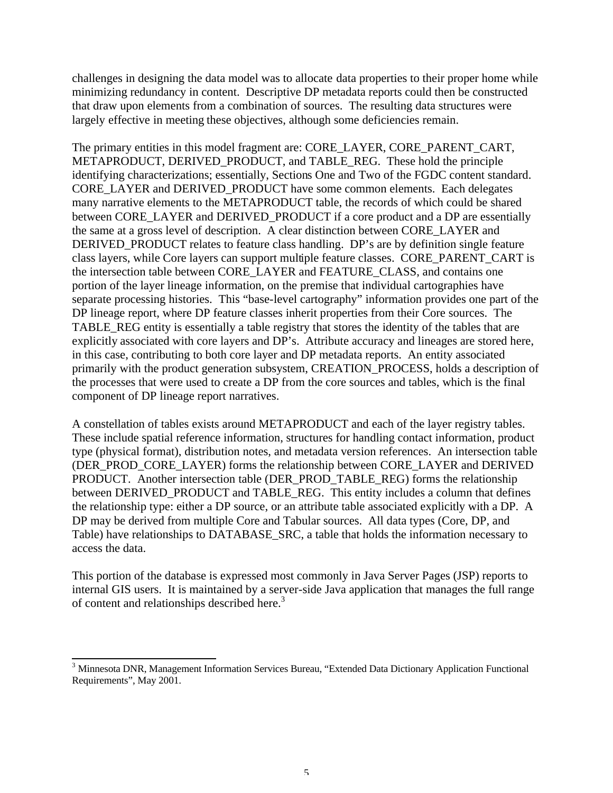challenges in designing the data model was to allocate data properties to their proper home while minimizing redundancy in content. Descriptive DP metadata reports could then be constructed that draw upon elements from a combination of sources. The resulting data structures were largely effective in meeting these objectives, although some deficiencies remain.

The primary entities in this model fragment are: CORE\_LAYER, CORE\_PARENT\_CART, METAPRODUCT, DERIVED PRODUCT, and TABLE REG. These hold the principle identifying characterizations; essentially, Sections One and Two of the FGDC content standard. CORE\_LAYER and DERIVED\_PRODUCT have some common elements. Each delegates many narrative elements to the METAPRODUCT table, the records of which could be shared between CORE\_LAYER and DERIVED\_PRODUCT if a core product and a DP are essentially the same at a gross level of description. A clear distinction between CORE\_LAYER and DERIVED\_PRODUCT relates to feature class handling. DP's are by definition single feature class layers, while Core layers can support multiple feature classes. CORE\_PARENT\_CART is the intersection table between CORE\_LAYER and FEATURE\_CLASS, and contains one portion of the layer lineage information, on the premise that individual cartographies have separate processing histories. This "base-level cartography" information provides one part of the DP lineage report, where DP feature classes inherit properties from their Core sources. The TABLE REG entity is essentially a table registry that stores the identity of the tables that are explicitly associated with core layers and DP's. Attribute accuracy and lineages are stored here, in this case, contributing to both core layer and DP metadata reports. An entity associated primarily with the product generation subsystem, CREATION\_PROCESS, holds a description of the processes that were used to create a DP from the core sources and tables, which is the final component of DP lineage report narratives.

A constellation of tables exists around METAPRODUCT and each of the layer registry tables. These include spatial reference information, structures for handling contact information, product type (physical format), distribution notes, and metadata version references. An intersection table (DER\_PROD\_CORE\_LAYER) forms the relationship between CORE\_LAYER and DERIVED PRODUCT. Another intersection table (DER\_PROD\_TABLE\_REG) forms the relationship between DERIVED\_PRODUCT and TABLE\_REG. This entity includes a column that defines the relationship type: either a DP source, or an attribute table associated explicitly with a DP. A DP may be derived from multiple Core and Tabular sources. All data types (Core, DP, and Table) have relationships to DATABASE\_SRC, a table that holds the information necessary to access the data.

This portion of the database is expressed most commonly in Java Server Pages (JSP) reports to internal GIS users. It is maintained by a server-side Java application that manages the full range of content and relationships described here.<sup>3</sup>

 $\overline{a}$ 

<sup>&</sup>lt;sup>3</sup> Minnesota DNR, Management Information Services Bureau, "Extended Data Dictionary Application Functional Requirements", May 2001.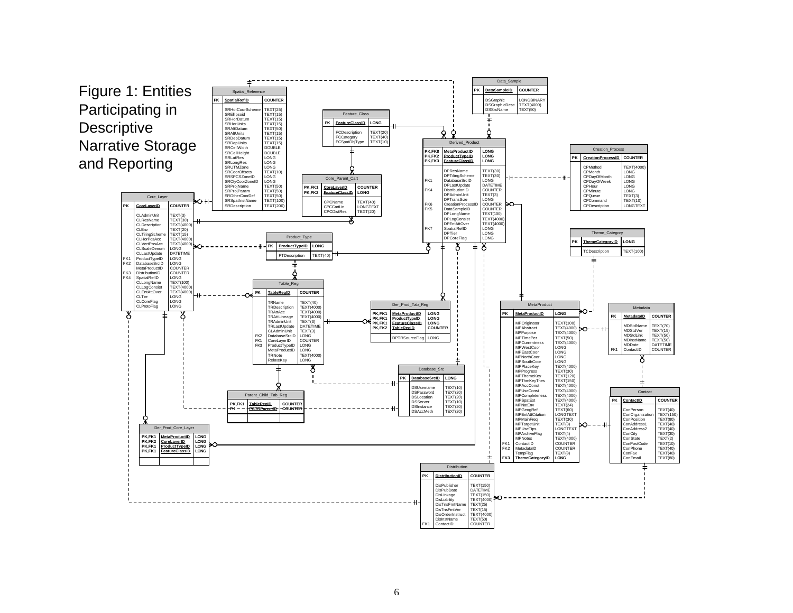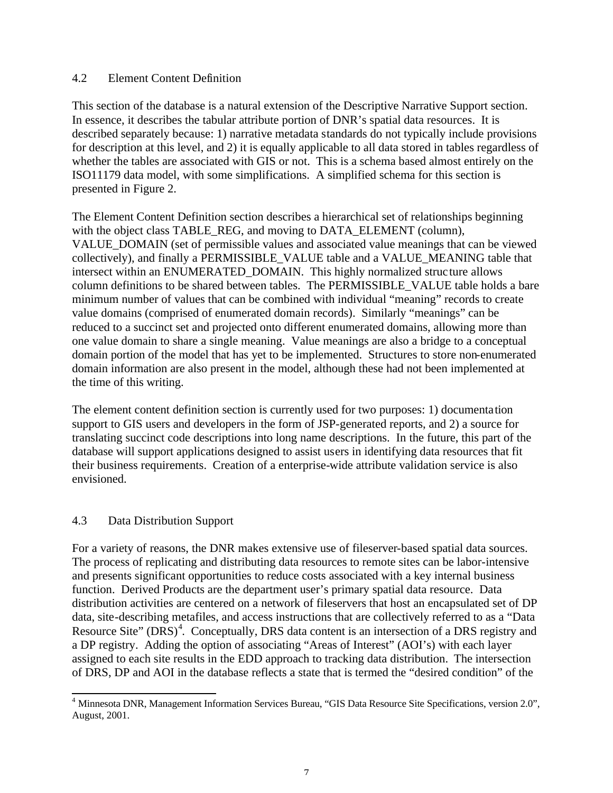### 4.2 Element Content Definition

This section of the database is a natural extension of the Descriptive Narrative Support section. In essence, it describes the tabular attribute portion of DNR's spatial data resources. It is described separately because: 1) narrative metadata standards do not typically include provisions for description at this level, and 2) it is equally applicable to all data stored in tables regardless of whether the tables are associated with GIS or not. This is a schema based almost entirely on the ISO11179 data model, with some simplifications. A simplified schema for this section is presented in Figure 2.

The Element Content Definition section describes a hierarchical set of relationships beginning with the object class TABLE\_REG, and moving to DATA\_ELEMENT (column), VALUE\_DOMAIN (set of permissible values and associated value meanings that can be viewed collectively), and finally a PERMISSIBLE\_VALUE table and a VALUE\_MEANING table that intersect within an ENUMERATED\_DOMAIN. This highly normalized structure allows column definitions to be shared between tables. The PERMISSIBLE\_VALUE table holds a bare minimum number of values that can be combined with individual "meaning" records to create value domains (comprised of enumerated domain records). Similarly "meanings" can be reduced to a succinct set and projected onto different enumerated domains, allowing more than one value domain to share a single meaning. Value meanings are also a bridge to a conceptual domain portion of the model that has yet to be implemented. Structures to store non-enumerated domain information are also present in the model, although these had not been implemented at the time of this writing.

The element content definition section is currently used for two purposes: 1) documentation support to GIS users and developers in the form of JSP-generated reports, and 2) a source for translating succinct code descriptions into long name descriptions. In the future, this part of the database will support applications designed to assist users in identifying data resources that fit their business requirements. Creation of a enterprise-wide attribute validation service is also envisioned.

# 4.3 Data Distribution Support

l

For a variety of reasons, the DNR makes extensive use of fileserver-based spatial data sources. The process of replicating and distributing data resources to remote sites can be labor-intensive and presents significant opportunities to reduce costs associated with a key internal business function. Derived Products are the department user's primary spatial data resource. Data distribution activities are centered on a network of fileservers that host an encapsulated set of DP data, site-describing metafiles, and access instructions that are collectively referred to as a "Data Resource Site" (DRS)<sup>4</sup>. Conceptually, DRS data content is an intersection of a DRS registry and a DP registry. Adding the option of associating "Areas of Interest" (AOI's) with each layer assigned to each site results in the EDD approach to tracking data distribution. The intersection of DRS, DP and AOI in the database reflects a state that is termed the "desired condition" of the

<sup>&</sup>lt;sup>4</sup> Minnesota DNR, Management Information Services Bureau, "GIS Data Resource Site Specifications, version 2.0", August, 2001.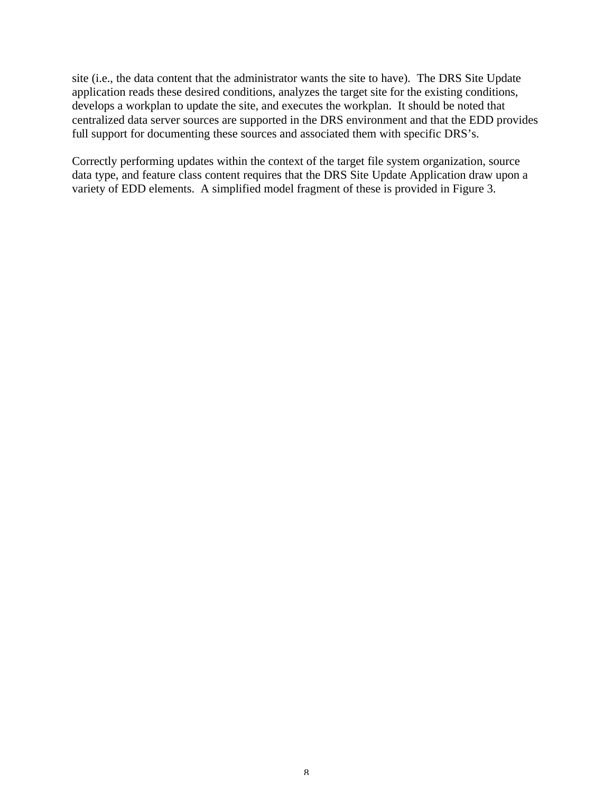site (i.e., the data content that the administrator wants the site to have). The DRS Site Update application reads these desired conditions, analyzes the target site for the existing conditions, develops a workplan to update the site, and executes the workplan. It should be noted that centralized data server sources are supported in the DRS environment and that the EDD provides full support for documenting these sources and associated them with specific DRS's.

Correctly performing updates within the context of the target file system organization, source data type, and feature class content requires that the DRS Site Update Application draw upon a variety of EDD elements. A simplified model fragment of these is provided in Figure 3.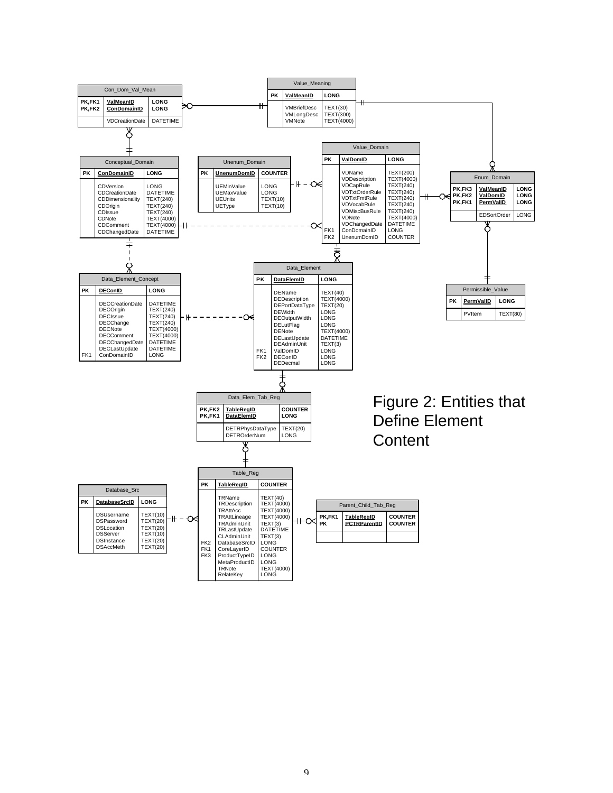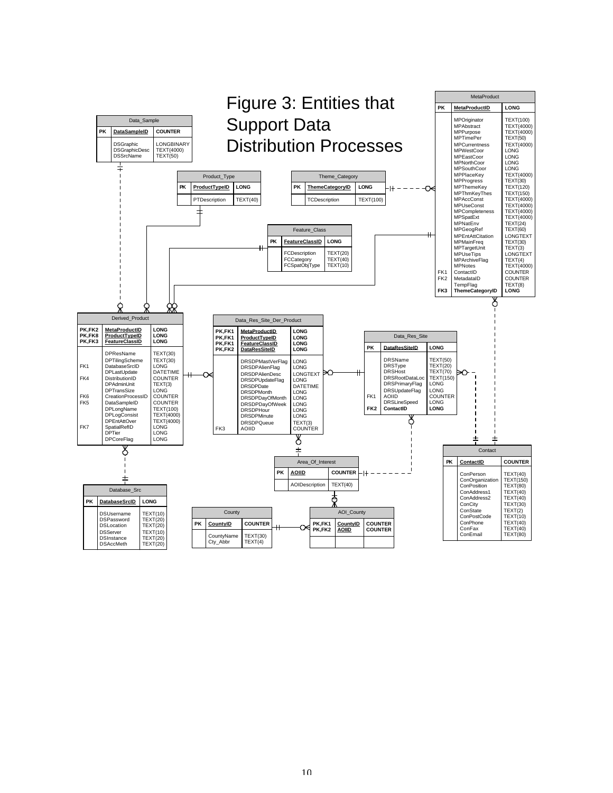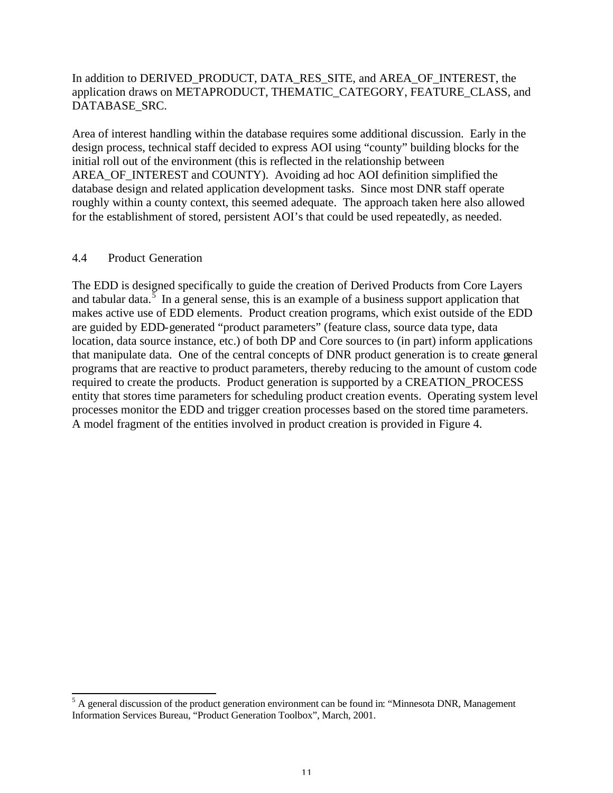## In addition to DERIVED\_PRODUCT, DATA\_RES\_SITE, and AREA\_OF\_INTEREST, the application draws on METAPRODUCT, THEMATIC\_CATEGORY, FEATURE\_CLASS, and DATABASE\_SRC.

Area of interest handling within the database requires some additional discussion. Early in the design process, technical staff decided to express AOI using "county" building blocks for the initial roll out of the environment (this is reflected in the relationship between AREA\_OF\_INTEREST and COUNTY). Avoiding ad hoc AOI definition simplified the database design and related application development tasks. Since most DNR staff operate roughly within a county context, this seemed adequate. The approach taken here also allowed for the establishment of stored, persistent AOI's that could be used repeatedly, as needed.

### 4.4 Product Generation

The EDD is designed specifically to guide the creation of Derived Products from Core Layers and tabular data.<sup>5</sup> In a general sense, this is an example of a business support application that makes active use of EDD elements. Product creation programs, which exist outside of the EDD are guided by EDD-generated "product parameters" (feature class, source data type, data location, data source instance, etc.) of both DP and Core sources to (in part) inform applications that manipulate data. One of the central concepts of DNR product generation is to create general programs that are reactive to product parameters, thereby reducing to the amount of custom code required to create the products. Product generation is supported by a CREATION\_PROCESS entity that stores time parameters for scheduling product creation events. Operating system level processes monitor the EDD and trigger creation processes based on the stored time parameters. A model fragment of the entities involved in product creation is provided in Figure 4.

<sup>&</sup>lt;sup>5</sup> A general discussion of the product generation environment can be found in: "Minnesota DNR, Management" Information Services Bureau, "Product Generation Toolbox", March, 2001.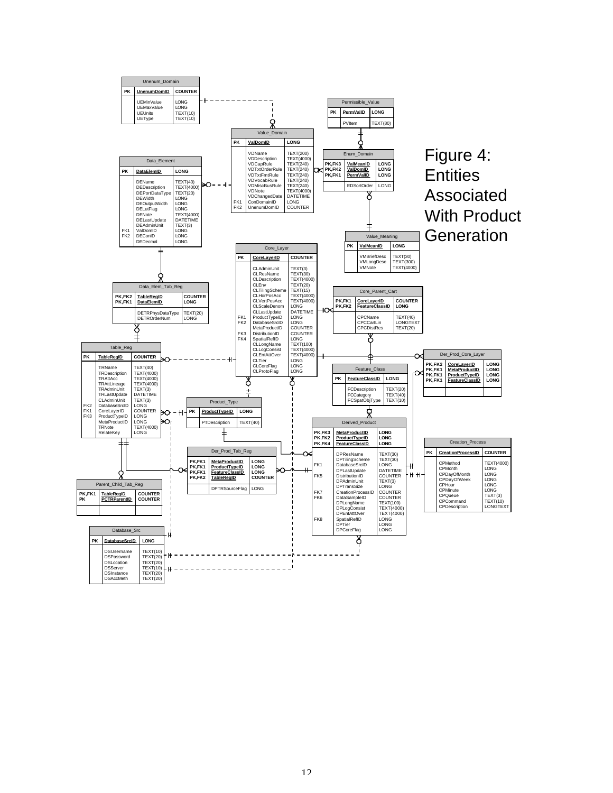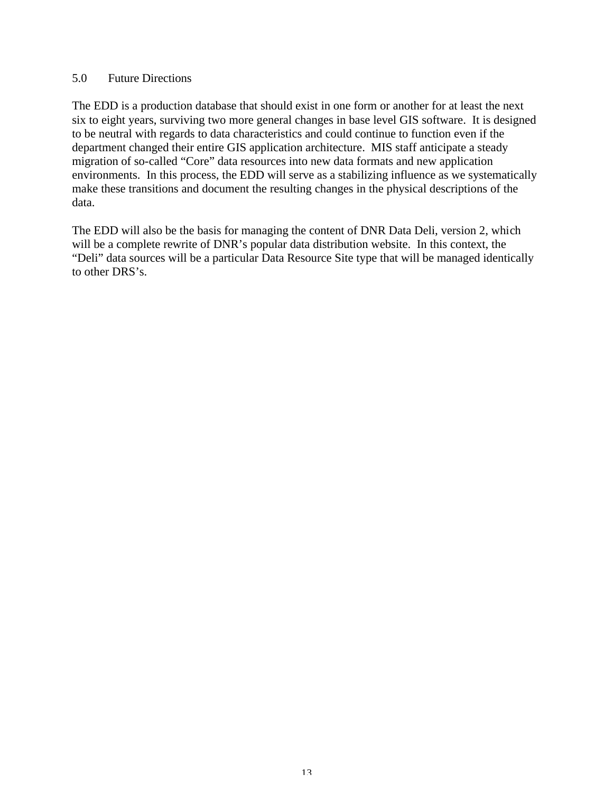#### 5.0 Future Directions

The EDD is a production database that should exist in one form or another for at least the next six to eight years, surviving two more general changes in base level GIS software. It is designed to be neutral with regards to data characteristics and could continue to function even if the department changed their entire GIS application architecture. MIS staff anticipate a steady migration of so-called "Core" data resources into new data formats and new application environments. In this process, the EDD will serve as a stabilizing influence as we systematically make these transitions and document the resulting changes in the physical descriptions of the data.

The EDD will also be the basis for managing the content of DNR Data Deli, version 2, which will be a complete rewrite of DNR's popular data distribution website. In this context, the "Deli" data sources will be a particular Data Resource Site type that will be managed identically to other DRS's.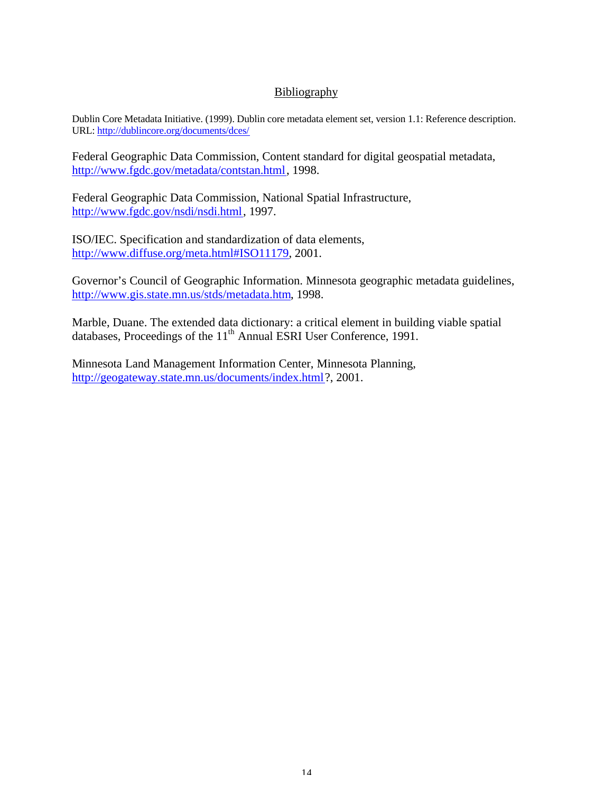# **Bibliography**

Dublin Core Metadata Initiative. (1999). Dublin core metadata element set, version 1.1: Reference description. URL: http://dublincore.org/documents/dces/

Federal Geographic Data Commission, Content standard for digital geospatial metadata, http://www.fgdc.gov/metadata/contstan.html, 1998.

Federal Geographic Data Commission, National Spatial Infrastructure, http://www.fgdc.gov/nsdi/nsdi.html, 1997.

ISO/IEC. Specification and standardization of data elements, http://www.diffuse.org/meta.html#ISO11179, 2001.

Governor's Council of Geographic Information. Minnesota geographic metadata guidelines, http://www.gis.state.mn.us/stds/metadata.htm, 1998.

Marble, Duane. The extended data dictionary: a critical element in building viable spatial databases, Proceedings of the 11<sup>th</sup> Annual ESRI User Conference, 1991.

Minnesota Land Management Information Center, Minnesota Planning, http://geogateway.state.mn.us/documents/index.html?, 2001.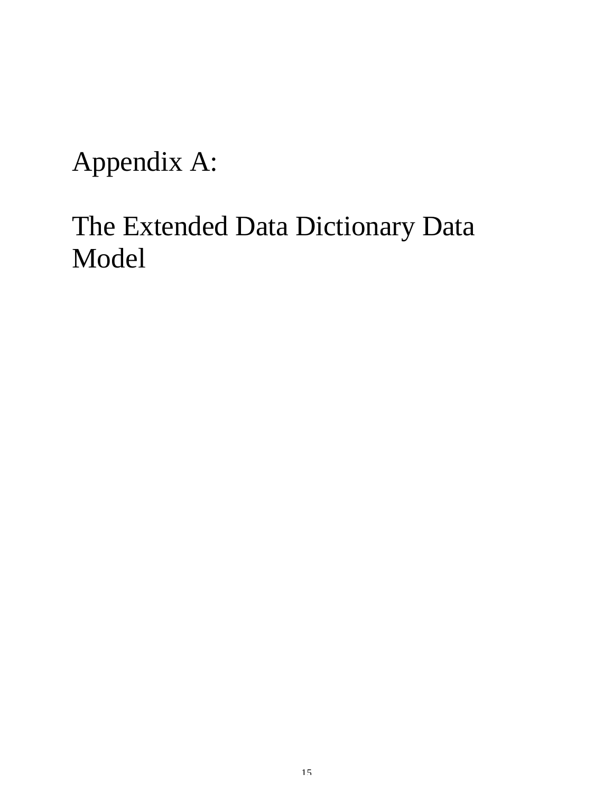Appendix A:

# The Extended Data Dictionary Data Model